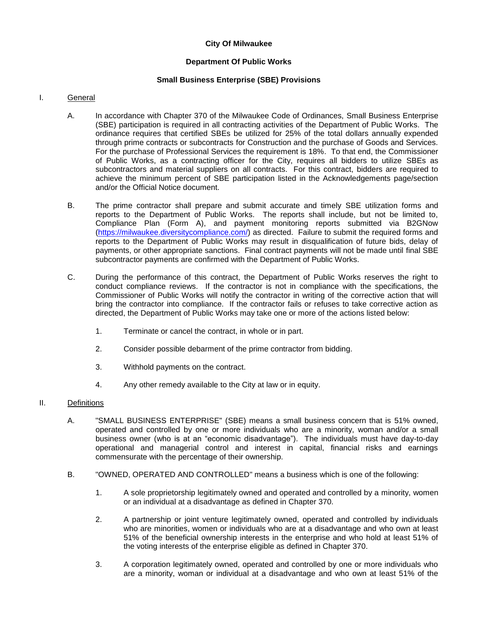# **City Of Milwaukee**

# **Department Of Public Works**

# **Small Business Enterprise (SBE) Provisions**

## I. General

- A. In accordance with Chapter 370 of the Milwaukee Code of Ordinances, Small Business Enterprise (SBE) participation is required in all contracting activities of the Department of Public Works. The ordinance requires that certified SBEs be utilized for 25% of the total dollars annually expended through prime contracts or subcontracts for Construction and the purchase of Goods and Services. For the purchase of Professional Services the requirement is 18%. To that end, the Commissioner of Public Works, as a contracting officer for the City, requires all bidders to utilize SBEs as subcontractors and material suppliers on all contracts. For this contract, bidders are required to achieve the minimum percent of SBE participation listed in the Acknowledgements page/section and/or the Official Notice document.
- B. The prime contractor shall prepare and submit accurate and timely SBE utilization forms and reports to the Department of Public Works. The reports shall include, but not be limited to, Compliance Plan (Form A), and payment monitoring reports submitted via B2GNow [\(https://milwaukee.diversitycompliance.com/\)](https://milwaukee.diversitycompliance.com/) as directed. Failure to submit the required forms and reports to the Department of Public Works may result in disqualification of future bids, delay of payments, or other appropriate sanctions. Final contract payments will not be made until final SBE subcontractor payments are confirmed with the Department of Public Works.
- C. During the performance of this contract, the Department of Public Works reserves the right to conduct compliance reviews. If the contractor is not in compliance with the specifications, the Commissioner of Public Works will notify the contractor in writing of the corrective action that will bring the contractor into compliance. If the contractor fails or refuses to take corrective action as directed, the Department of Public Works may take one or more of the actions listed below:
	- 1. Terminate or cancel the contract, in whole or in part.
	- 2. Consider possible debarment of the prime contractor from bidding.
	- 3. Withhold payments on the contract.
	- 4. Any other remedy available to the City at law or in equity.

### II. Definitions

- A. "SMALL BUSINESS ENTERPRISE" (SBE) means a small business concern that is 51% owned, operated and controlled by one or more individuals who are a minority, woman and/or a small business owner (who is at an "economic disadvantage"). The individuals must have day-to-day operational and managerial control and interest in capital, financial risks and earnings commensurate with the percentage of their ownership.
- B. "OWNED, OPERATED AND CONTROLLED" means a business which is one of the following:
	- 1. A sole proprietorship legitimately owned and operated and controlled by a minority, women or an individual at a disadvantage as defined in Chapter 370.
	- 2. A partnership or joint venture legitimately owned, operated and controlled by individuals who are minorities, women or individuals who are at a disadvantage and who own at least 51% of the beneficial ownership interests in the enterprise and who hold at least 51% of the voting interests of the enterprise eligible as defined in Chapter 370.
	- 3. A corporation legitimately owned, operated and controlled by one or more individuals who are a minority, woman or individual at a disadvantage and who own at least 51% of the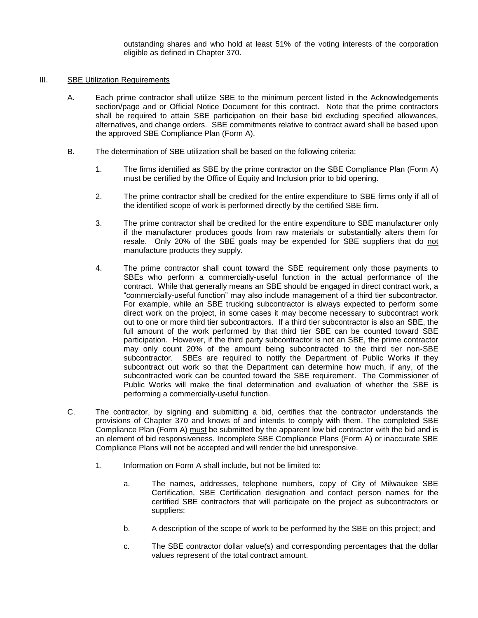outstanding shares and who hold at least 51% of the voting interests of the corporation eligible as defined in Chapter 370.

### III. SBE Utilization Requirements

- A. Each prime contractor shall utilize SBE to the minimum percent listed in the Acknowledgements section/page and or Official Notice Document for this contract. Note that the prime contractors shall be required to attain SBE participation on their base bid excluding specified allowances, alternatives, and change orders. SBE commitments relative to contract award shall be based upon the approved SBE Compliance Plan (Form A).
- B. The determination of SBE utilization shall be based on the following criteria:
	- 1. The firms identified as SBE by the prime contractor on the SBE Compliance Plan (Form A) must be certified by the Office of Equity and Inclusion prior to bid opening.
	- 2. The prime contractor shall be credited for the entire expenditure to SBE firms only if all of the identified scope of work is performed directly by the certified SBE firm.
	- 3. The prime contractor shall be credited for the entire expenditure to SBE manufacturer only if the manufacturer produces goods from raw materials or substantially alters them for resale. Only 20% of the SBE goals may be expended for SBE suppliers that do not manufacture products they supply.
	- 4. The prime contractor shall count toward the SBE requirement only those payments to SBEs who perform a commercially-useful function in the actual performance of the contract. While that generally means an SBE should be engaged in direct contract work, a "commercially-useful function" may also include management of a third tier subcontractor. For example, while an SBE trucking subcontractor is always expected to perform some direct work on the project, in some cases it may become necessary to subcontract work out to one or more third tier subcontractors. If a third tier subcontractor is also an SBE, the full amount of the work performed by that third tier SBE can be counted toward SBE participation. However, if the third party subcontractor is not an SBE, the prime contractor may only count 20% of the amount being subcontracted to the third tier non-SBE subcontractor. SBEs are required to notify the Department of Public Works if they subcontract out work so that the Department can determine how much, if any, of the subcontracted work can be counted toward the SBE requirement. The Commissioner of Public Works will make the final determination and evaluation of whether the SBE is performing a commercially-useful function.
- C. The contractor, by signing and submitting a bid, certifies that the contractor understands the provisions of Chapter 370 and knows of and intends to comply with them. The completed SBE Compliance Plan (Form A) must be submitted by the apparent low bid contractor with the bid and is an element of bid responsiveness. Incomplete SBE Compliance Plans (Form A) or inaccurate SBE Compliance Plans will not be accepted and will render the bid unresponsive.
	- 1. Information on Form A shall include, but not be limited to:
		- a. The names, addresses, telephone numbers, copy of City of Milwaukee SBE Certification, SBE Certification designation and contact person names for the certified SBE contractors that will participate on the project as subcontractors or suppliers;
		- b. A description of the scope of work to be performed by the SBE on this project; and
		- c. The SBE contractor dollar value(s) and corresponding percentages that the dollar values represent of the total contract amount.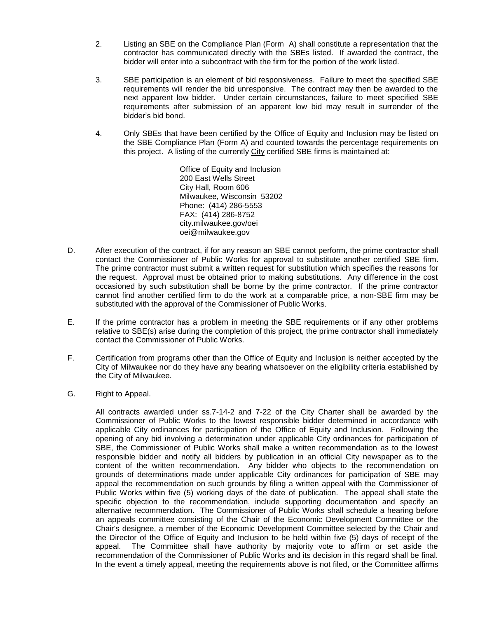- 2. Listing an SBE on the Compliance Plan (Form A) shall constitute a representation that the contractor has communicated directly with the SBEs listed. If awarded the contract, the bidder will enter into a subcontract with the firm for the portion of the work listed.
- 3. SBE participation is an element of bid responsiveness. Failure to meet the specified SBE requirements will render the bid unresponsive. The contract may then be awarded to the next apparent low bidder. Under certain circumstances, failure to meet specified SBE requirements after submission of an apparent low bid may result in surrender of the bidder's bid bond.
- 4. Only SBEs that have been certified by the Office of Equity and Inclusion may be listed on the SBE Compliance Plan (Form A) and counted towards the percentage requirements on this project. A listing of the currently City certified SBE firms is maintained at:

Office of Equity and Inclusion 200 East Wells Street City Hall, Room 606 Milwaukee, Wisconsin 53202 Phone: (414) 286-5553 FAX: (414) 286-8752 city.milwaukee.gov/oei oei@milwaukee.gov

- D. After execution of the contract, if for any reason an SBE cannot perform, the prime contractor shall contact the Commissioner of Public Works for approval to substitute another certified SBE firm. The prime contractor must submit a written request for substitution which specifies the reasons for the request. Approval must be obtained prior to making substitutions. Any difference in the cost occasioned by such substitution shall be borne by the prime contractor. If the prime contractor cannot find another certified firm to do the work at a comparable price, a non-SBE firm may be substituted with the approval of the Commissioner of Public Works.
- E. If the prime contractor has a problem in meeting the SBE requirements or if any other problems relative to SBE(s) arise during the completion of this project, the prime contractor shall immediately contact the Commissioner of Public Works.
- F. Certification from programs other than the Office of Equity and Inclusion is neither accepted by the City of Milwaukee nor do they have any bearing whatsoever on the eligibility criteria established by the City of Milwaukee.
- G. Right to Appeal.

All contracts awarded under ss.7-14-2 and 7-22 of the City Charter shall be awarded by the Commissioner of Public Works to the lowest responsible bidder determined in accordance with applicable City ordinances for participation of the Office of Equity and Inclusion. Following the opening of any bid involving a determination under applicable City ordinances for participation of SBE, the Commissioner of Public Works shall make a written recommendation as to the lowest responsible bidder and notify all bidders by publication in an official City newspaper as to the content of the written recommendation. Any bidder who objects to the recommendation on grounds of determinations made under applicable City ordinances for participation of SBE may appeal the recommendation on such grounds by filing a written appeal with the Commissioner of Public Works within five (5) working days of the date of publication. The appeal shall state the specific objection to the recommendation, include supporting documentation and specify an alternative recommendation. The Commissioner of Public Works shall schedule a hearing before an appeals committee consisting of the Chair of the Economic Development Committee or the Chair's designee, a member of the Economic Development Committee selected by the Chair and the Director of the Office of Equity and Inclusion to be held within five (5) days of receipt of the appeal. The Committee shall have authority by majority vote to affirm or set aside the recommendation of the Commissioner of Public Works and its decision in this regard shall be final. In the event a timely appeal, meeting the requirements above is not filed, or the Committee affirms